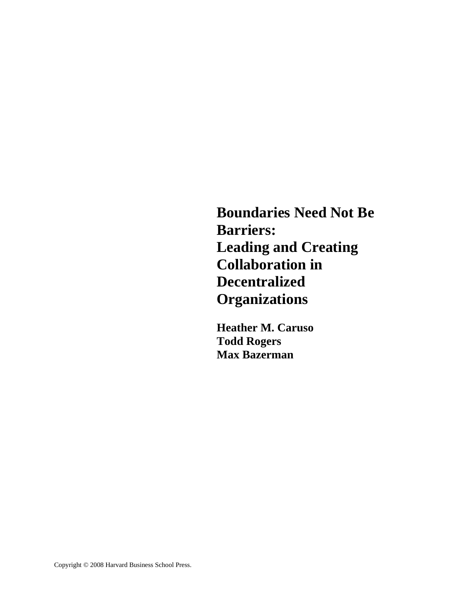**Boundaries Need Not Be Barriers: Leading and Creating Collaboration in Decentralized Organizations** 

**Heather M. Caruso Todd Rogers Max Bazerman**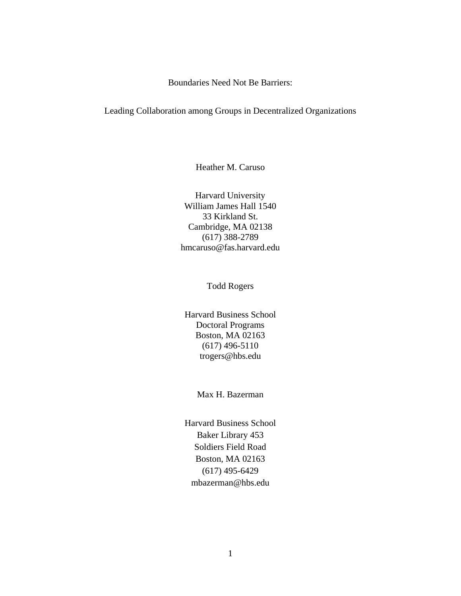Boundaries Need Not Be Barriers:

### Leading Collaboration among Groups in Decentralized Organizations

Heather M. Caruso

Harvard University William James Hall 1540 33 Kirkland St. Cambridge, MA 02138 (617) 388-2789 hmcaruso@fas.harvard.edu

Todd Rogers

Harvard Business School Doctoral Programs Boston, MA 02163 (617) 496-5110 trogers@hbs.edu

Max H. Bazerman

Harvard Business School Baker Library 453 Soldiers Field Road Boston, MA 02163 (617) 495-6429 mbazerman@hbs.edu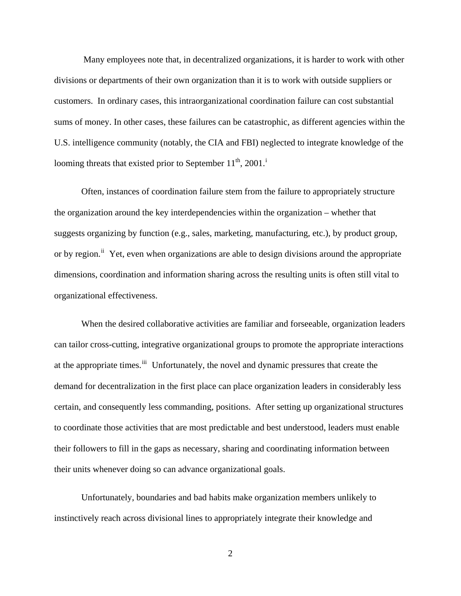Many employees note that, in decentralized organizations, it is harder to work with other divisions or departments of their own organization than it is to work with outside suppliers or customers. In ordinary cases, this intraorganizational coordination failure can cost substantial sums of money. In other cases, these failures can be catastrophic, as different agencies within the U.S. intelligence community (notably, the CIA and FBI) neglected to integrate knowledge of the loom[i](#page-16-0)ng threats that existed prior to September  $11^{th}$ , 2001.<sup>i</sup>

Often, instances of coordination failure stem from the failure to appropriately structure the organization around the key interdependencies within the organization – whether that suggests organizing by function (e.g., sales, marketing, manufacturing, etc.), by product group, or by region.<sup>[ii](#page-16-1)</sup> Yet, even when organizations are able to design divisions around the appropriate dimensions, coordination and information sharing across the resulting units is often still vital to organizational effectiveness.

When the desired collaborative activities are familiar and forseeable, organization leaders can tailor cross-cutting, integrative organizational groups to promote the appropriate interactions at the appropriate times.<sup>[iii](#page-16-2)</sup> Unfortunately, the novel and dynamic pressures that create the demand for decentralization in the first place can place organization leaders in considerably less certain, and consequently less commanding, positions. After setting up organizational structures to coordinate those activities that are most predictable and best understood, leaders must enable their followers to fill in the gaps as necessary, sharing and coordinating information between their units whenever doing so can advance organizational goals.

Unfortunately, boundaries and bad habits make organization members unlikely to instinctively reach across divisional lines to appropriately integrate their knowledge and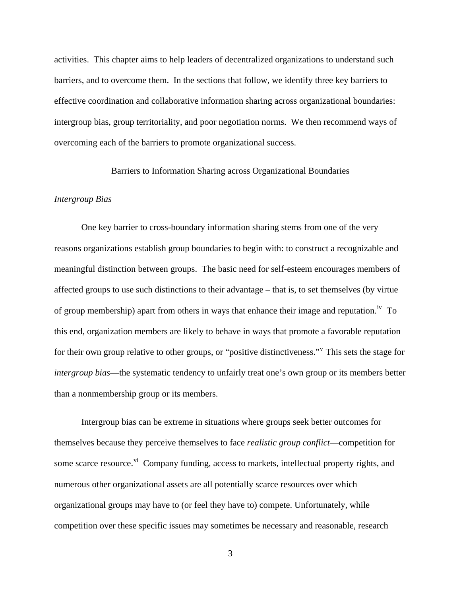activities. This chapter aims to help leaders of decentralized organizations to understand such barriers, and to overcome them. In the sections that follow, we identify three key barriers to effective coordination and collaborative information sharing across organizational boundaries: intergroup bias, group territoriality, and poor negotiation norms. We then recommend ways of overcoming each of the barriers to promote organizational success.

# Barriers to Information Sharing across Organizational Boundaries

## *Intergroup Bias*

 One key barrier to cross-boundary information sharing stems from one of the very reasons organizations establish group boundaries to begin with: to construct a recognizable and meaningful distinction between groups. The basic need for self-esteem encourages members of affected groups to use such distinctions to their advantage – that is, to set themselves (by virtue of group membership) apart from others in ways that enhance their image and reputation.<sup>[iv](#page-16-3)</sup> To this end, organization members are likely to behave in ways that promote a favorable reputation for their own group relati[v](#page-16-4)e to other groups, or "positive distinctiveness." This sets the stage for *intergroup bias*—the systematic tendency to unfairly treat one's own group or its members better than a nonmembership group or its members.

Intergroup bias can be extreme in situations where groups seek better outcomes for themselves because they perceive themselves to face *realistic group conflict*—competition for some scarce resource.<sup>[vi](#page-16-5)</sup> Company funding, access to markets, intellectual property rights, and numerous other organizational assets are all potentially scarce resources over which organizational groups may have to (or feel they have to) compete. Unfortunately, while competition over these specific issues may sometimes be necessary and reasonable, research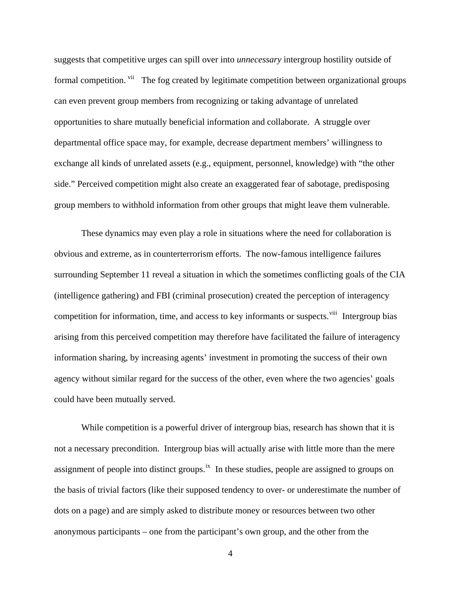suggests that competitive urges can spill over into *unnecessary* intergroup hostility outside of formal competition. <sup>[vii](#page-16-6)</sup> The fog created by legitimate competition between organizational groups can even prevent group members from recognizing or taking advantage of unrelated opportunities to share mutually beneficial information and collaborate. A struggle over departmental office space may, for example, decrease department members' willingness to exchange all kinds of unrelated assets (e.g., equipment, personnel, knowledge) with "the other side." Perceived competition might also create an exaggerated fear of sabotage, predisposing group members to withhold information from other groups that might leave them vulnerable.

These dynamics may even play a role in situations where the need for collaboration is obvious and extreme, as in counterterrorism efforts. The now-famous intelligence failures surrounding September 11 reveal a situation in which the sometimes conflicting goals of the CIA (intelligence gathering) and FBI (criminal prosecution) created the perception of interagency competition for information, time, and access to key informants or suspects.<sup>[viii](#page-16-7)</sup> Intergroup bias arising from this perceived competition may therefore have facilitated the failure of interagency information sharing, by increasing agents' investment in promoting the success of their own agency without similar regard for the success of the other, even where the two agencies' goals could have been mutually served.

While competition is a powerful driver of intergroup bias, research has shown that it is not a necessary precondition. Intergroup bias will actually arise with little more than the mere assignment of people into distinct groups.<sup>[ix](#page-16-8)</sup> In these studies, people are assigned to groups on the basis of trivial factors (like their supposed tendency to over- or underestimate the number of dots on a page) and are simply asked to distribute money or resources between two other anonymous participants – one from the participant's own group, and the other from the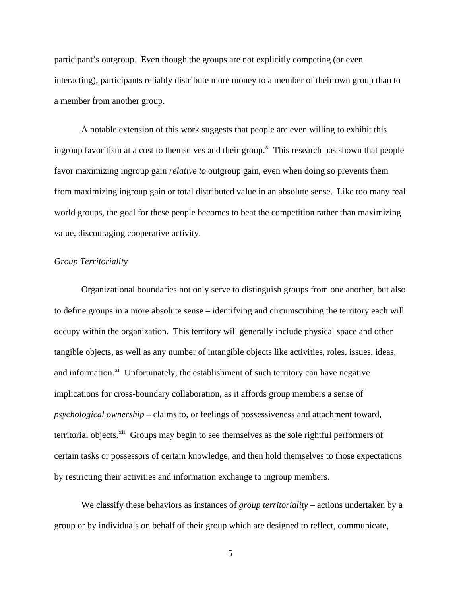participant's outgroup. Even though the groups are not explicitly competing (or even interacting), participants reliably distribute more money to a member of their own group than to a member from another group.

 A notable extension of this work suggests that people are even willing to exhibit this ingroup favoritism at a cost to themselves and their group.<sup> $x$ </sup> This research has shown that people favor maximizing ingroup gain *relative to* outgroup gain, even when doing so prevents them from maximizing ingroup gain or total distributed value in an absolute sense. Like too many real world groups, the goal for these people becomes to beat the competition rather than maximizing value, discouraging cooperative activity.

## *Group Territoriality*

Organizational boundaries not only serve to distinguish groups from one another, but also to define groups in a more absolute sense – identifying and circumscribing the territory each will occupy within the organization. This territory will generally include physical space and other tangible objects, as well as any number of intangible objects like activities, roles, issues, ideas, and information. $x_i$  Unfortunately, the establishment of such territory can have negative implications for cross-boundary collaboration, as it affords group members a sense of *psychological ownership* – claims to, or feelings of possessiveness and attachment toward, territorial objects.<sup>[xii](#page-16-11)</sup> Groups may begin to see themselves as the sole rightful performers of certain tasks or possessors of certain knowledge, and then hold themselves to those expectations by restricting their activities and information exchange to ingroup members.

We classify these behaviors as instances of *group territoriality* – actions undertaken by a group or by individuals on behalf of their group which are designed to reflect, communicate,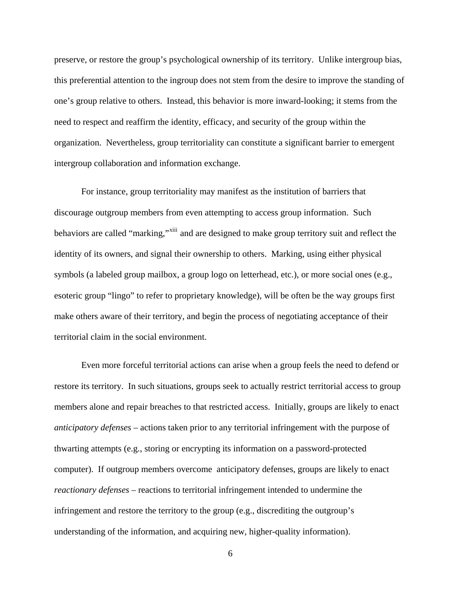preserve, or restore the group's psychological ownership of its territory. Unlike intergroup bias, this preferential attention to the ingroup does not stem from the desire to improve the standing of one's group relative to others. Instead, this behavior is more inward-looking; it stems from the need to respect and reaffirm the identity, efficacy, and security of the group within the organization. Nevertheless, group territoriality can constitute a significant barrier to emergent intergroup collaboration and information exchange.

For instance, group territoriality may manifest as the institution of barriers that discourage outgroup members from even attempting to access group information. Such behaviors are called "marking,"<sup>[xiii](#page-16-12)</sup> and are designed to make group territory suit and reflect the identity of its owners, and signal their ownership to others. Marking, using either physical symbols (a labeled group mailbox, a group logo on letterhead, etc.), or more social ones (e.g., esoteric group "lingo" to refer to proprietary knowledge), will be often be the way groups first make others aware of their territory, and begin the process of negotiating acceptance of their territorial claim in the social environment.

Even more forceful territorial actions can arise when a group feels the need to defend or restore its territory. In such situations, groups seek to actually restrict territorial access to group members alone and repair breaches to that restricted access. Initially, groups are likely to enact *anticipatory defenses* – actions taken prior to any territorial infringement with the purpose of thwarting attempts (e.g., storing or encrypting its information on a password-protected computer). If outgroup members overcome anticipatory defenses, groups are likely to enact *reactionary defenses* – reactions to territorial infringement intended to undermine the infringement and restore the territory to the group (e.g., discrediting the outgroup's understanding of the information, and acquiring new, higher-quality information).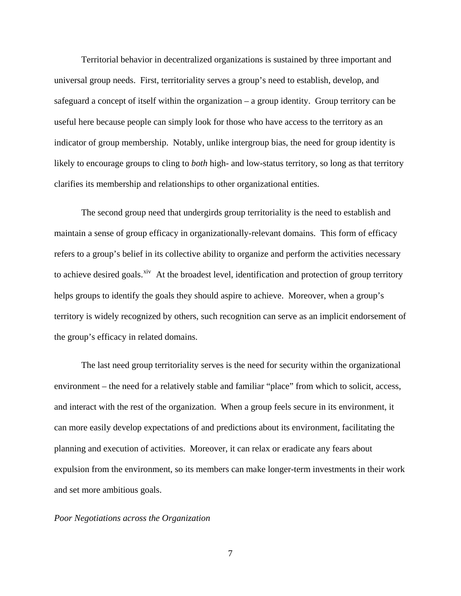Territorial behavior in decentralized organizations is sustained by three important and universal group needs. First, territoriality serves a group's need to establish, develop, and safeguard a concept of itself within the organization – a group identity. Group territory can be useful here because people can simply look for those who have access to the territory as an indicator of group membership. Notably, unlike intergroup bias, the need for group identity is likely to encourage groups to cling to *both* high- and low-status territory, so long as that territory clarifies its membership and relationships to other organizational entities.

The second group need that undergirds group territoriality is the need to establish and maintain a sense of group efficacy in organizationally-relevant domains. This form of efficacy refers to a group's belief in its collective ability to organize and perform the activities necessary to achieve desired goals.<sup>[xiv](#page-16-13)</sup> At the broadest level, identification and protection of group territory helps groups to identify the goals they should aspire to achieve. Moreover, when a group's territory is widely recognized by others, such recognition can serve as an implicit endorsement of the group's efficacy in related domains.

The last need group territoriality serves is the need for security within the organizational environment – the need for a relatively stable and familiar "place" from which to solicit, access, and interact with the rest of the organization. When a group feels secure in its environment, it can more easily develop expectations of and predictions about its environment, facilitating the planning and execution of activities. Moreover, it can relax or eradicate any fears about expulsion from the environment, so its members can make longer-term investments in their work and set more ambitious goals.

### *Poor Negotiations across the Organization*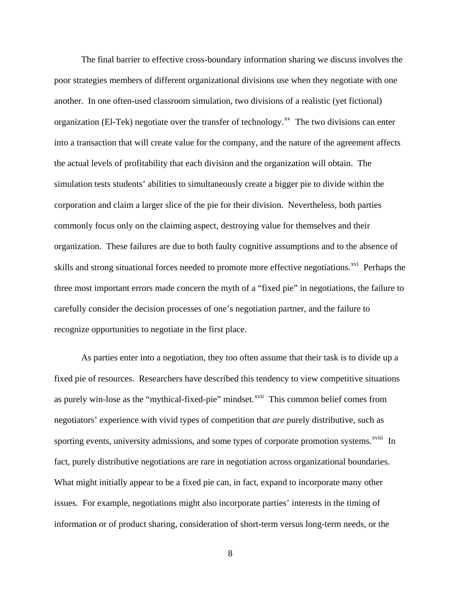The final barrier to effective cross-boundary information sharing we discuss involves the poor strategies members of different organizational divisions use when they negotiate with one another. In one often-used classroom simulation, two divisions of a realistic (yet fictional) organization (El-Tek) negotiate over the transfer of technology.<sup> $x<sub>v</sub>$ </sup> The two divisions can enter into a transaction that will create value for the company, and the nature of the agreement affects the actual levels of profitability that each division and the organization will obtain. The simulation tests students' abilities to simultaneously create a bigger pie to divide within the corporation and claim a larger slice of the pie for their division. Nevertheless, both parties commonly focus only on the claiming aspect, destroying value for themselves and their organization. These failures are due to both faulty cognitive assumptions and to the absence of skills and strong situational forces needed to promote more effective negotiations.<sup>[xvi](#page-16-15)</sup> Perhaps the three most important errors made concern the myth of a "fixed pie" in negotiations, the failure to carefully consider the decision processes of one's negotiation partner, and the failure to recognize opportunities to negotiate in the first place.

As parties enter into a negotiation, they too often assume that their task is to divide up a fixed pie of resources. Researchers have described this tendency to view competitive situations as purely win-lose as the "mythical-fixed-pie" mindset.<sup>[xvii](#page-16-16)</sup> This common belief comes from negotiators' experience with vivid types of competition that *are* purely distributive, such as sporting events, university admissions, and some types of corporate promotion systems.<sup>[xviii](#page-17-0)</sup> In fact, purely distributive negotiations are rare in negotiation across organizational boundaries. What might initially appear to be a fixed pie can, in fact, expand to incorporate many other issues. For example, negotiations might also incorporate parties' interests in the timing of information or of product sharing, consideration of short-term versus long-term needs, or the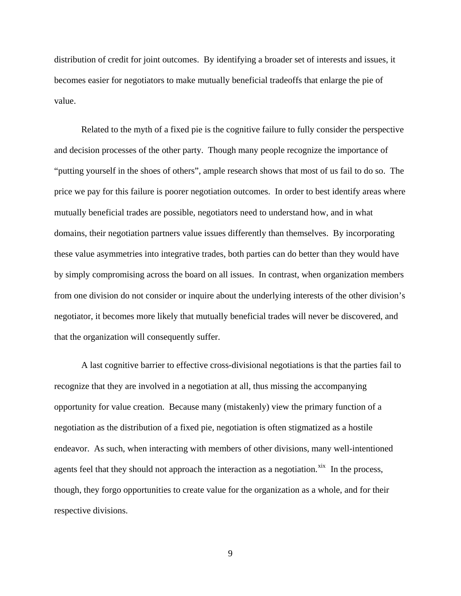distribution of credit for joint outcomes. By identifying a broader set of interests and issues, it becomes easier for negotiators to make mutually beneficial tradeoffs that enlarge the pie of value.

 Related to the myth of a fixed pie is the cognitive failure to fully consider the perspective and decision processes of the other party. Though many people recognize the importance of "putting yourself in the shoes of others", ample research shows that most of us fail to do so. The price we pay for this failure is poorer negotiation outcomes. In order to best identify areas where mutually beneficial trades are possible, negotiators need to understand how, and in what domains, their negotiation partners value issues differently than themselves. By incorporating these value asymmetries into integrative trades, both parties can do better than they would have by simply compromising across the board on all issues. In contrast, when organization members from one division do not consider or inquire about the underlying interests of the other division's negotiator, it becomes more likely that mutually beneficial trades will never be discovered, and that the organization will consequently suffer.

A last cognitive barrier to effective cross-divisional negotiations is that the parties fail to recognize that they are involved in a negotiation at all, thus missing the accompanying opportunity for value creation. Because many (mistakenly) view the primary function of a negotiation as the distribution of a fixed pie, negotiation is often stigmatized as a hostile endeavor. As such, when interacting with members of other divisions, many well-intentioned agents feel that they should not approach the interaction as a negotiation. $x$ <sup>ix</sup> In the process, though, they forgo opportunities to create value for the organization as a whole, and for their respective divisions.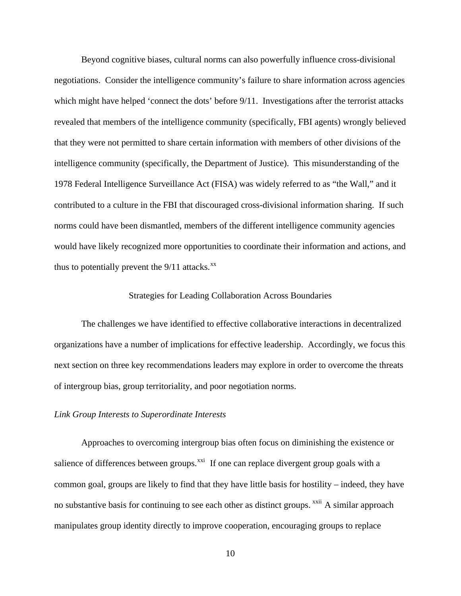Beyond cognitive biases, cultural norms can also powerfully influence cross-divisional negotiations. Consider the intelligence community's failure to share information across agencies which might have helped 'connect the dots' before 9/11. Investigations after the terrorist attacks revealed that members of the intelligence community (specifically, FBI agents) wrongly believed that they were not permitted to share certain information with members of other divisions of the intelligence community (specifically, the Department of Justice). This misunderstanding of the 1978 Federal Intelligence Surveillance Act (FISA) was widely referred to as "the Wall," and it contributed to a culture in the FBI that discouraged cross-divisional information sharing. If such norms could have been dismantled, members of the different intelligence community agencies would have likely recognized more opportunities to coordinate their information and actions, and thus to potentially prevent the  $9/11$  attacks.<sup>[xx](#page-17-2)</sup>

# Strategies for Leading Collaboration Across Boundaries

The challenges we have identified to effective collaborative interactions in decentralized organizations have a number of implications for effective leadership. Accordingly, we focus this next section on three key recommendations leaders may explore in order to overcome the threats of intergroup bias, group territoriality, and poor negotiation norms.

#### *Link Group Interests to Superordinate Interests*

Approaches to overcoming intergroup bias often focus on diminishing the existence or salience of differences between groups. $^{xxi}$  $^{xxi}$  $^{xxi}$  If one can replace divergent group goals with a common goal, groups are likely to find that they have little basis for hostility – indeed, they have no substantive basis for continuing to see each other as distinct groups. <sup>[xxii](#page-17-4)</sup> A similar approach manipulates group identity directly to improve cooperation, encouraging groups to replace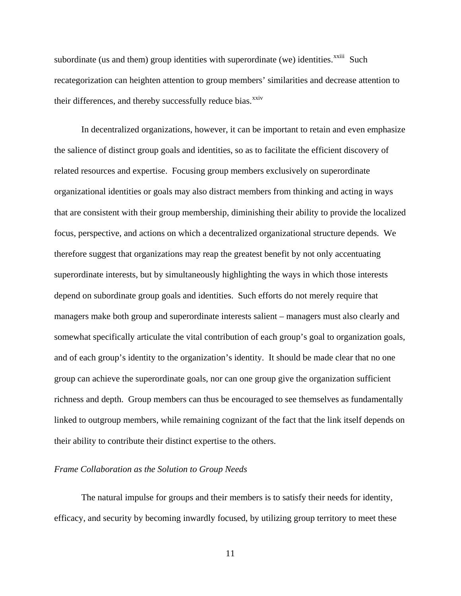subordinate (us and them) group identities with superordinate (we) identities. $x^{\text{xiii}}$  Such recategorization can heighten attention to group members' similarities and decrease attention to their differences, and thereby successfully reduce bias.<sup>[xxiv](#page-17-6)</sup>

In decentralized organizations, however, it can be important to retain and even emphasize the salience of distinct group goals and identities, so as to facilitate the efficient discovery of related resources and expertise. Focusing group members exclusively on superordinate organizational identities or goals may also distract members from thinking and acting in ways that are consistent with their group membership, diminishing their ability to provide the localized focus, perspective, and actions on which a decentralized organizational structure depends. We therefore suggest that organizations may reap the greatest benefit by not only accentuating superordinate interests, but by simultaneously highlighting the ways in which those interests depend on subordinate group goals and identities. Such efforts do not merely require that managers make both group and superordinate interests salient – managers must also clearly and somewhat specifically articulate the vital contribution of each group's goal to organization goals, and of each group's identity to the organization's identity. It should be made clear that no one group can achieve the superordinate goals, nor can one group give the organization sufficient richness and depth. Group members can thus be encouraged to see themselves as fundamentally linked to outgroup members, while remaining cognizant of the fact that the link itself depends on their ability to contribute their distinct expertise to the others.

# *Frame Collaboration as the Solution to Group Needs*

The natural impulse for groups and their members is to satisfy their needs for identity, efficacy, and security by becoming inwardly focused, by utilizing group territory to meet these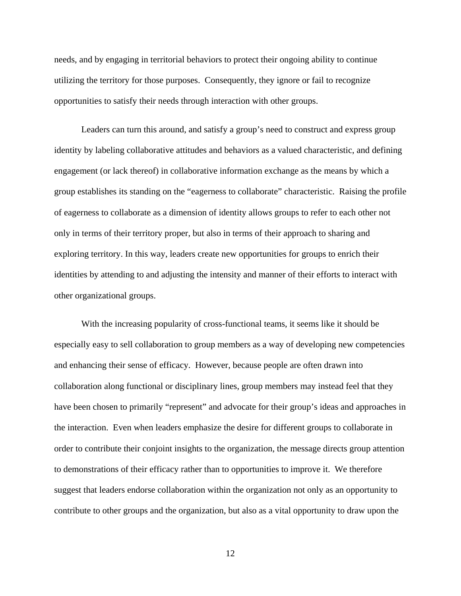needs, and by engaging in territorial behaviors to protect their ongoing ability to continue utilizing the territory for those purposes. Consequently, they ignore or fail to recognize opportunities to satisfy their needs through interaction with other groups.

Leaders can turn this around, and satisfy a group's need to construct and express group identity by labeling collaborative attitudes and behaviors as a valued characteristic, and defining engagement (or lack thereof) in collaborative information exchange as the means by which a group establishes its standing on the "eagerness to collaborate" characteristic. Raising the profile of eagerness to collaborate as a dimension of identity allows groups to refer to each other not only in terms of their territory proper, but also in terms of their approach to sharing and exploring territory. In this way, leaders create new opportunities for groups to enrich their identities by attending to and adjusting the intensity and manner of their efforts to interact with other organizational groups.

With the increasing popularity of cross-functional teams, it seems like it should be especially easy to sell collaboration to group members as a way of developing new competencies and enhancing their sense of efficacy. However, because people are often drawn into collaboration along functional or disciplinary lines, group members may instead feel that they have been chosen to primarily "represent" and advocate for their group's ideas and approaches in the interaction. Even when leaders emphasize the desire for different groups to collaborate in order to contribute their conjoint insights to the organization, the message directs group attention to demonstrations of their efficacy rather than to opportunities to improve it. We therefore suggest that leaders endorse collaboration within the organization not only as an opportunity to contribute to other groups and the organization, but also as a vital opportunity to draw upon the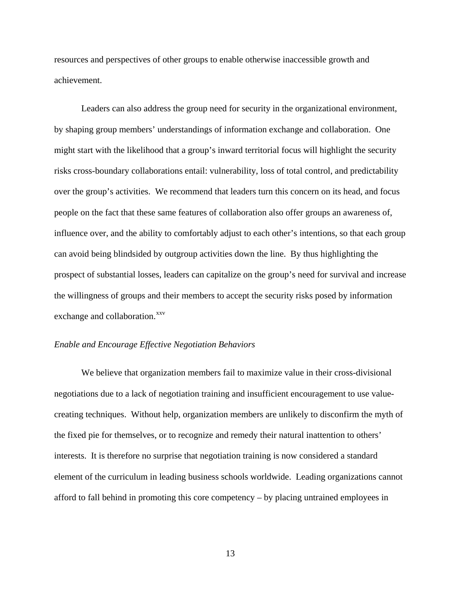resources and perspectives of other groups to enable otherwise inaccessible growth and achievement.

Leaders can also address the group need for security in the organizational environment, by shaping group members' understandings of information exchange and collaboration. One might start with the likelihood that a group's inward territorial focus will highlight the security risks cross-boundary collaborations entail: vulnerability, loss of total control, and predictability over the group's activities. We recommend that leaders turn this concern on its head, and focus people on the fact that these same features of collaboration also offer groups an awareness of, influence over, and the ability to comfortably adjust to each other's intentions, so that each group can avoid being blindsided by outgroup activities down the line. By thus highlighting the prospect of substantial losses, leaders can capitalize on the group's need for survival and increase the willingness of groups and their members to accept the security risks posed by information exchange and collaboration.<sup>[xxv](#page-17-7)</sup>

## *Enable and Encourage Effective Negotiation Behaviors*

We believe that organization members fail to maximize value in their cross-divisional negotiations due to a lack of negotiation training and insufficient encouragement to use valuecreating techniques. Without help, organization members are unlikely to disconfirm the myth of the fixed pie for themselves, or to recognize and remedy their natural inattention to others' interests. It is therefore no surprise that negotiation training is now considered a standard element of the curriculum in leading business schools worldwide. Leading organizations cannot afford to fall behind in promoting this core competency – by placing untrained employees in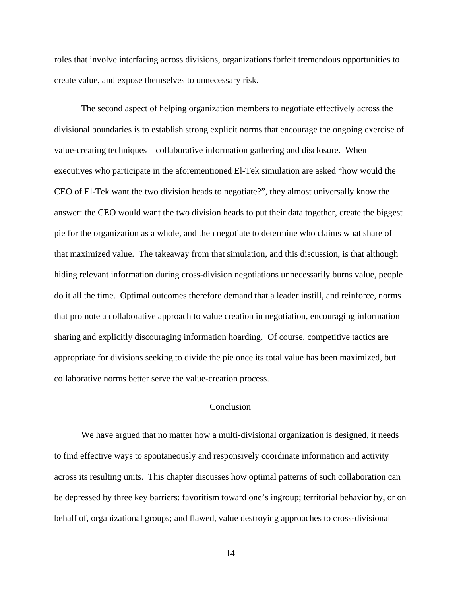roles that involve interfacing across divisions, organizations forfeit tremendous opportunities to create value, and expose themselves to unnecessary risk.

The second aspect of helping organization members to negotiate effectively across the divisional boundaries is to establish strong explicit norms that encourage the ongoing exercise of value-creating techniques – collaborative information gathering and disclosure. When executives who participate in the aforementioned El-Tek simulation are asked "how would the CEO of El-Tek want the two division heads to negotiate?", they almost universally know the answer: the CEO would want the two division heads to put their data together, create the biggest pie for the organization as a whole, and then negotiate to determine who claims what share of that maximized value. The takeaway from that simulation, and this discussion, is that although hiding relevant information during cross-division negotiations unnecessarily burns value, people do it all the time. Optimal outcomes therefore demand that a leader instill, and reinforce, norms that promote a collaborative approach to value creation in negotiation, encouraging information sharing and explicitly discouraging information hoarding. Of course, competitive tactics are appropriate for divisions seeking to divide the pie once its total value has been maximized, but collaborative norms better serve the value-creation process.

# Conclusion

We have argued that no matter how a multi-divisional organization is designed, it needs to find effective ways to spontaneously and responsively coordinate information and activity across its resulting units. This chapter discusses how optimal patterns of such collaboration can be depressed by three key barriers: favoritism toward one's ingroup; territorial behavior by, or on behalf of, organizational groups; and flawed, value destroying approaches to cross-divisional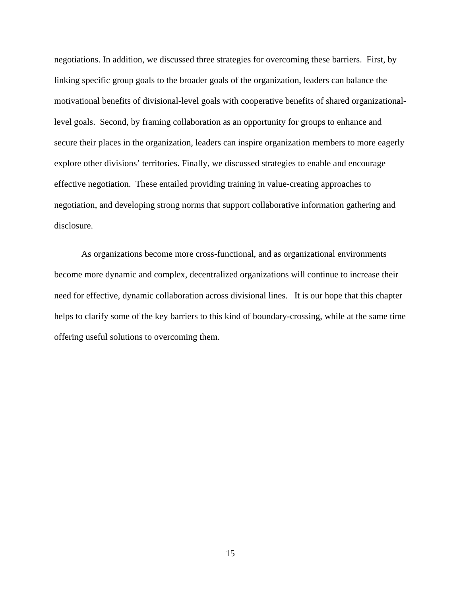negotiations. In addition, we discussed three strategies for overcoming these barriers. First, by linking specific group goals to the broader goals of the organization, leaders can balance the motivational benefits of divisional-level goals with cooperative benefits of shared organizationallevel goals. Second, by framing collaboration as an opportunity for groups to enhance and secure their places in the organization, leaders can inspire organization members to more eagerly explore other divisions' territories. Finally, we discussed strategies to enable and encourage effective negotiation. These entailed providing training in value-creating approaches to negotiation, and developing strong norms that support collaborative information gathering and disclosure.

 As organizations become more cross-functional, and as organizational environments become more dynamic and complex, decentralized organizations will continue to increase their need for effective, dynamic collaboration across divisional lines. It is our hope that this chapter helps to clarify some of the key barriers to this kind of boundary-crossing, while at the same time offering useful solutions to overcoming them.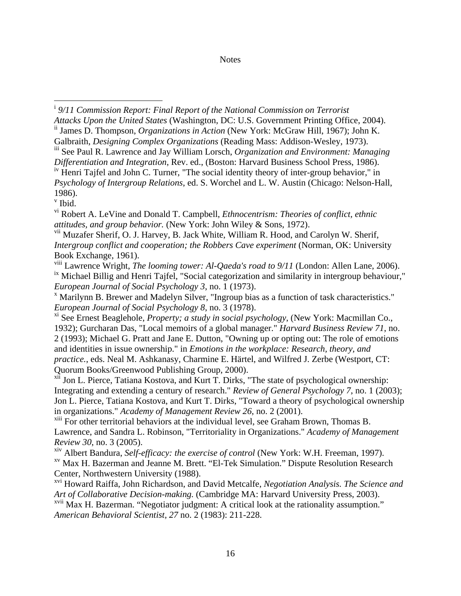# **Notes**

<span id="page-16-7"></span><span id="page-16-0"></span><sup>i</sup> 9/11 Commission Report: Final Report of the National Commission on Terrorist *Attacks Upon the United States* (Washington, DC: U.S. Government Printing Office, 2004).

<span id="page-16-15"></span>ii James D. Thompson, *Organizations in Action* (New York: McGraw Hill, 1967); John K. Galbraith, *Designing Complex Organizations* (Reading Mass: Addison-Wesley, 1973).

<span id="page-16-10"></span>iii See Paul R. Lawrence and Jay William Lorsch, *Organization and Environment: Managing Differentiation and Integration*, Rev. ed., (Boston: Harvard Business School Press, 1986).

<span id="page-16-1"></span><sup>iv</sup> Henri Tajfel and John C. Turner, "The social identity theory of inter-group behavior," in *Psychology of Intergroup Relations*, ed. S. Worchel and L. W. Austin (Chicago: Nelson-Hall, 1986).

v Ibid.

vi Robert A. LeVine and Donald T. Campbell, *Ethnocentrism: Theories of conflict, ethnic attitudes, and group behavior.* (New York: John Wiley & Sons, 1972).

<span id="page-16-13"></span><sup>vii</sup> Muzafer Sherif, O. J. Harvey, B. Jack White, William R. Hood, and Carolyn W. Sherif, *Intergroup conflict and cooperation; the Robbers Cave experiment* (Norman, OK: University Book Exchange, 1961).

<span id="page-16-16"></span><span id="page-16-14"></span><span id="page-16-2"></span>viii Lawrence Wright, *The looming tower: Al-Qaeda's road to 9/11* (London: Allen Lane, 2006). <sup>ix</sup> Michael Billig and Henri Tajfel, "Social categorization and similarity in intergroup behaviour," *European Journal of Social Psychology* 3, no. 1 (1973).

 Marilynn B. Brewer and Madelyn Silver, "Ingroup bias as a function of task characteristics." *European Journal of Social Psychology 8*, no. 3 (1978).

<span id="page-16-8"></span><span id="page-16-4"></span>xi See Ernest Beaglehole, *Property; a study in social psychology*, (New York: Macmillan Co., 1932); Gurcharan Das, "Local memoirs of a global manager." *Harvard Business Review 71*, no. 2 (1993); Michael G. Pratt and Jane E. Dutton, "Owning up or opting out: The role of emotions and identities in issue ownership." in *Emotions in the workplace: Research, theory, and practice.*, eds. Neal M. Ashkanasy, Charmine E. Härtel, and Wilfred J. Zerbe (Westport, CT: Quorum Books/Greenwood Publishing Group, 2000).

<span id="page-16-11"></span><span id="page-16-5"></span><span id="page-16-3"></span>xii Jon L. Pierce, Tatiana Kostova, and Kurt T. Dirks, "The state of psychological ownership: Integrating and extending a century of research." *Review of General Psychology 7*, no. 1 (2003); Jon L. Pierce, Tatiana Kostova, and Kurt T. Dirks, "Toward a theory of psychological ownership in organizations." *Academy of Management Review 26*, no. 2 (2001).

<span id="page-16-12"></span><sup>xiii</sup> For other territorial behaviors at the individual level, see Graham Brown, Thomas B. Lawrence, and Sandra L. Robinson, "Territoriality in Organizations." *Academy of Management Review 30*, no. 3 (2005).

<span id="page-16-6"></span>xiv Albert Bandura, *Self-efficacy: the exercise of control* (New York: W.H. Freeman, 1997). xv Max H. Bazerman and Jeanne M. Brett. "El-Tek Simulation." Dispute Resolution Research Center, Northwestern University (1988).

<span id="page-16-9"></span>xvi Howard Raiffa, John Richardson, and David Metcalfe, *Negotiation Analysis. The Science and Art of Collaborative Decision-making.* (Cambridge MA: Harvard University Press, 2003).

xvii Max H. Bazerman. "Negotiator judgment: A critical look at the rationality assumption." *American Behavioral Scientist, 27* no. 2 (1983): 211-228.